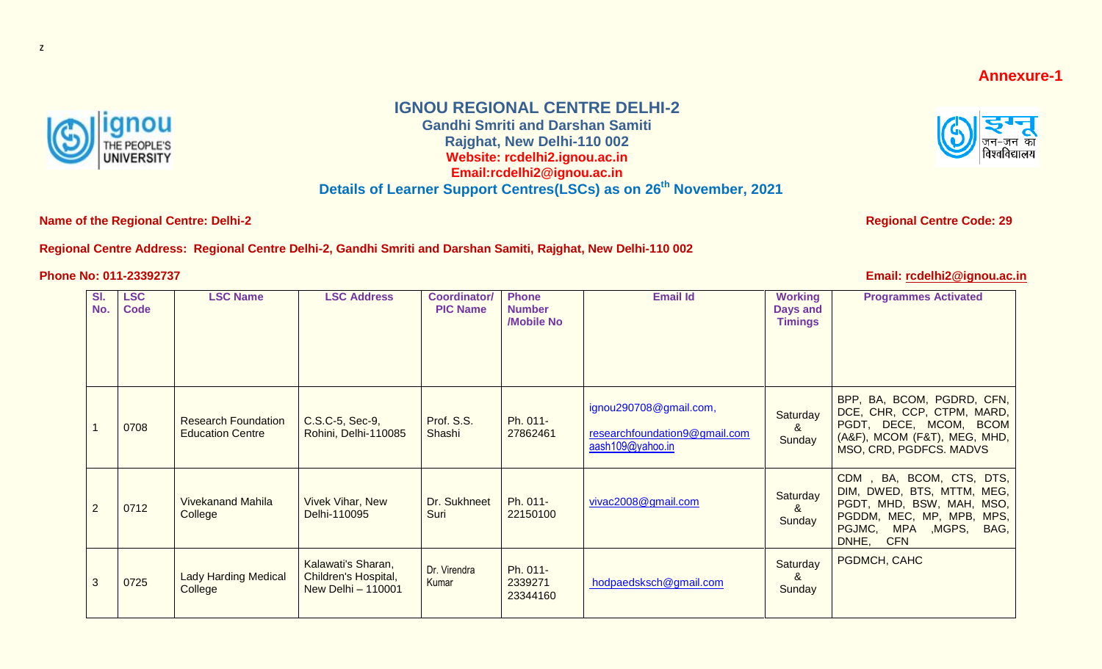## **Annexure-1**



## **IGNOU REGIONAL CENTRE DELHI-2**

**Gandhi Smriti and Darshan Samiti Rajghat, New Delhi-110 002 Website: rcdelhi2.ignou.ac.in Email:rcdelhi2@ignou.ac.in**

**Details of Learner Support Centres(LSCs) as on 26 th November, 2021**

**Name of the Regional Centre: Delhi-2 Regional Centre Code: 29 Regional Centre Code: 29** 

## **Regional Centre Address: Regional Centre Delhi-2, Gandhi Smriti and Darshan Samiti, Rajghat, New Delhi-110 002**

**Phone No: 011-23392737** 



|  | Email: rcdelhi2@ignou.ac.in |  |
|--|-----------------------------|--|
|--|-----------------------------|--|

| SI.<br>No.     | <b>LSC</b><br>Code | <b>LSC Name</b>                                       | <b>LSC Address</b>                                               | <b>Coordinator/</b><br><b>PIC Name</b> | <b>Phone</b><br><b>Number</b><br>/Mobile No | <b>Email Id</b>                                                             | <b>Working</b><br>Days and<br><b>Timings</b> | <b>Programmes Activated</b>                                                                                                                                           |
|----------------|--------------------|-------------------------------------------------------|------------------------------------------------------------------|----------------------------------------|---------------------------------------------|-----------------------------------------------------------------------------|----------------------------------------------|-----------------------------------------------------------------------------------------------------------------------------------------------------------------------|
|                | 0708               | <b>Research Foundation</b><br><b>Education Centre</b> | C.S.C-5, Sec-9,<br>Rohini, Delhi-110085                          | Prof. S.S.<br>Shashi                   | Ph. 011-<br>27862461                        | ignou290708@gmail.com,<br>researchfoundation9@gmail.com<br>aash109@yahoo.in | Saturday<br>&<br>Sunday                      | BPP, BA, BCOM, PGDRD, CFN,<br>DCE, CHR, CCP, CTPM, MARD,<br>PGDT, DECE, MCOM, BCOM<br>(A&F), MCOM (F&T), MEG, MHD,<br>MSO, CRD, PGDFCS. MADVS                         |
| $\overline{2}$ | 0712               | <b>Vivekanand Mahila</b><br>College                   | <b>Vivek Vihar, New</b><br>Delhi-110095                          | Dr. Sukhneet<br>Suri                   | Ph. 011-<br>22150100                        | vivac2008@gmail.com                                                         | Saturday<br>&<br>Sunday                      | CDM, BA, BCOM, CTS, DTS,<br>DIM, DWED, BTS, MTTM, MEG,<br>PGDT, MHD, BSW, MAH, MSO,<br>PGDDM, MEC, MP, MPB, MPS,<br>PGJMC,<br>MPA , MGPS, BAG,<br>DNHE,<br><b>CFN</b> |
| 3              | 0725               | <b>Lady Harding Medical</b><br>College                | Kalawati's Sharan,<br>Children's Hospital,<br>New Delhi - 110001 | Dr. Virendra<br>Kumar                  | Ph. 011-<br>2339271<br>23344160             | hodpaedsksch@gmail.com                                                      | Saturday<br>&<br>Sunday                      | PGDMCH, CAHC                                                                                                                                                          |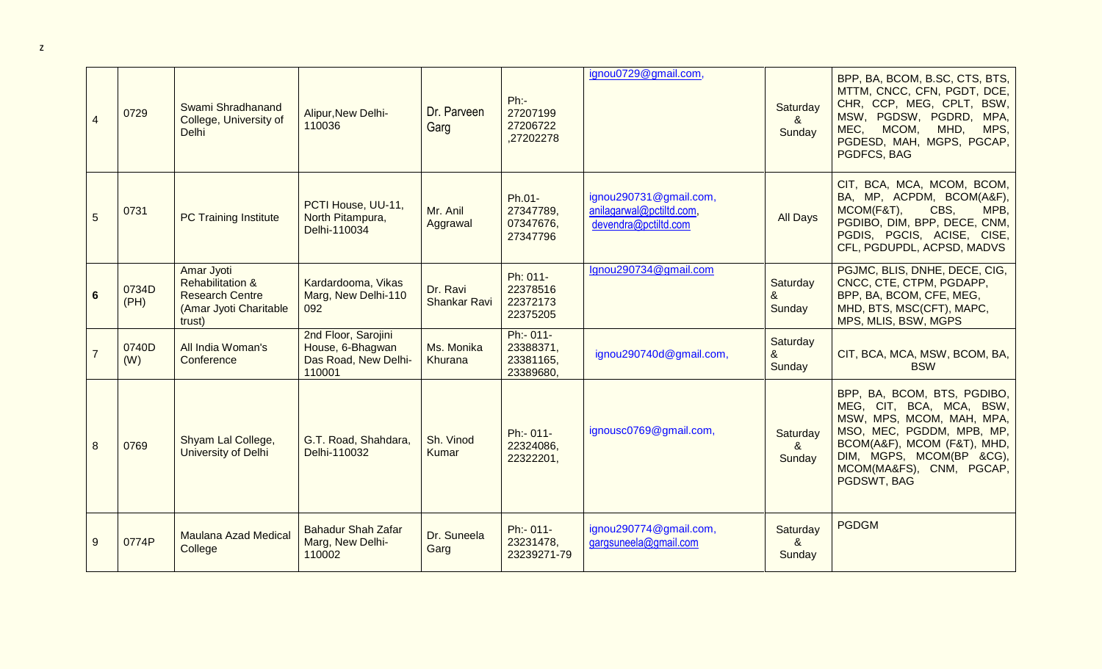| $\overline{4}$ | 0729          | Swami Shradhanand<br>College, University of<br><b>Delhi</b>                                             | Alipur, New Delhi-<br>110036                                              | Dr. Parveen<br>Garg             | Ph:<br>27207199<br>27206722<br>,27202278         | ignou0729@gmail.com,                                                       | Saturday<br>8 <sub>o</sub><br>Sunday | BPP, BA, BCOM, B.SC, CTS, BTS,<br>MTTM, CNCC, CFN, PGDT, DCE,<br>CHR, CCP, MEG, CPLT, BSW,<br>MSW, PGDSW, PGDRD, MPA,<br>MEC,<br>MCOM,<br>MHD,<br>MPS,<br>PGDESD, MAH, MGPS, PGCAP,<br><b>PGDFCS, BAG</b>               |
|----------------|---------------|---------------------------------------------------------------------------------------------------------|---------------------------------------------------------------------------|---------------------------------|--------------------------------------------------|----------------------------------------------------------------------------|--------------------------------------|-------------------------------------------------------------------------------------------------------------------------------------------------------------------------------------------------------------------------|
| 5              | 0731          | <b>PC Training Institute</b>                                                                            | PCTI House, UU-11,<br>North Pitampura,<br>Delhi-110034                    | Mr. Anil<br>Aggrawal            | Ph.01-<br>27347789,<br>07347676,<br>27347796     | ignou290731@gmail.com,<br>anilagarwal@pctiltd.com,<br>devendra@pctiltd.com | <b>All Days</b>                      | CIT, BCA, MCA, MCOM, BCOM,<br>BA, MP, ACPDM, BCOM(A&F),<br>MCOM(F&T),<br>CBS,<br>MPB,<br>PGDIBO, DIM, BPP, DECE, CNM,<br>PGDIS, PGCIS, ACISE, CISE,<br>CFL, PGDUPDL, ACPSD, MADVS                                       |
| $6\phantom{1}$ | 0734D<br>(PH) | Amar Jyoti<br><b>Rehabilitation &amp;</b><br><b>Research Centre</b><br>(Amar Jyoti Charitable<br>trust) | Kardardooma, Vikas<br>Marg, New Delhi-110<br>092                          | Dr. Ravi<br><b>Shankar Ravi</b> | Ph: 011-<br>22378516<br>22372173<br>22375205     | Ignou290734@gmail.com                                                      | Saturday<br>&<br>Sunday              | PGJMC, BLIS, DNHE, DECE, CIG,<br>CNCC, CTE, CTPM, PGDAPP,<br>BPP, BA, BCOM, CFE, MEG,<br>MHD, BTS, MSC(CFT), MAPC,<br>MPS, MLIS, BSW, MGPS                                                                              |
| $\overline{7}$ | 0740D<br>(W)  | All India Woman's<br>Conference                                                                         | 2nd Floor, Sarojini<br>House, 6-Bhagwan<br>Das Road, New Delhi-<br>110001 | Ms. Monika<br>Khurana           | Ph:- 011-<br>23388371,<br>23381165,<br>23389680, | ignou290740d@gmail.com,                                                    | Saturday<br>&<br>Sunday              | CIT, BCA, MCA, MSW, BCOM, BA,<br><b>BSW</b>                                                                                                                                                                             |
| 8              | 0769          | Shyam Lal College,<br>University of Delhi                                                               | G.T. Road, Shahdara,<br>Delhi-110032                                      | Sh. Vinod<br>Kumar              | Ph:- 011-<br>22324086,<br>22322201,              | ignousc0769@gmail.com,                                                     | Saturday<br>$\alpha$<br>Sunday       | BPP, BA, BCOM, BTS, PGDIBO,<br>MEG, CIT, BCA, MCA, BSW,<br>MSW, MPS, MCOM, MAH, MPA,<br>MSO, MEC, PGDDM, MPB, MP,<br>BCOM(A&F), MCOM (F&T), MHD,<br>DIM, MGPS, MCOM(BP &CG),<br>MCOM(MA&FS), CNM, PGCAP,<br>PGDSWT, BAG |
| 9              | 0774P         | <b>Maulana Azad Medical</b><br>College                                                                  | <b>Bahadur Shah Zafar</b><br>Marg, New Delhi-<br>110002                   | Dr. Suneela<br>Garg             | Ph:- 011-<br>23231478,<br>23239271-79            | ignou290774@gmail.com,<br>gargsuneela@gmail.com                            | Saturday<br>8 <sub>x</sub><br>Sunday | <b>PGDGM</b>                                                                                                                                                                                                            |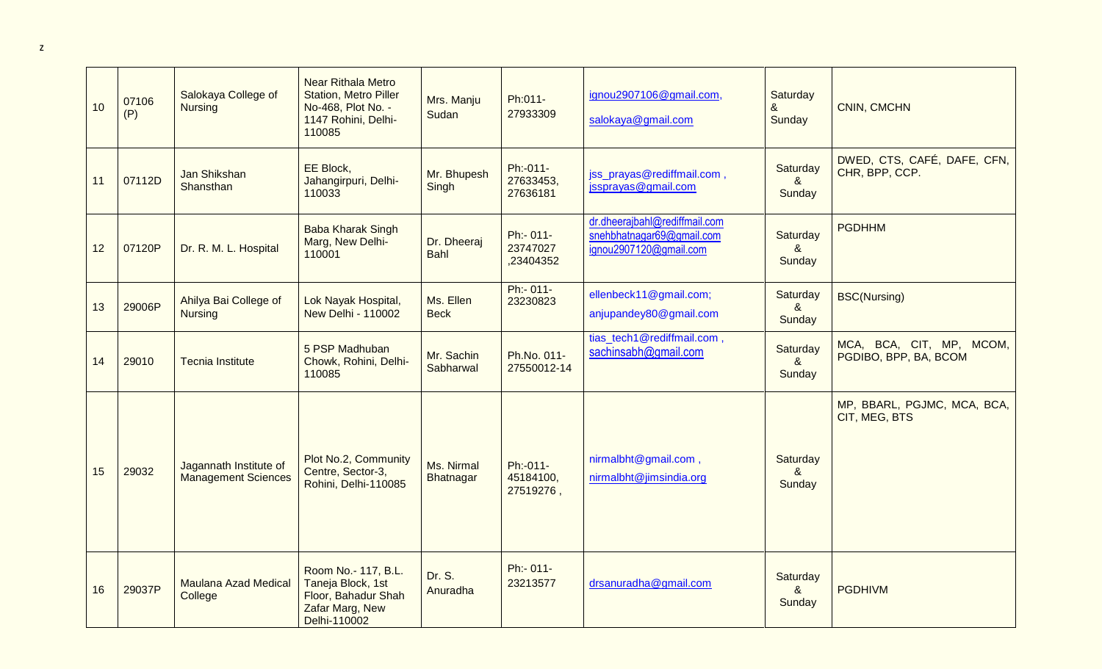| 10 | 07106<br>(P) | Salokaya College of<br><b>Nursing</b>                | <b>Near Rithala Metro</b><br><b>Station, Metro Piller</b><br>No-468, Plot No. -<br>1147 Rohini, Delhi-<br>110085 | Mrs. Manju<br>Sudan        | Ph:011-<br>27933309                | ignou2907106@gmail.com,<br>salokaya@gmail.com                                        | Saturday<br>&<br>Sunday                     | CNIN, CMCHN                                       |
|----|--------------|------------------------------------------------------|------------------------------------------------------------------------------------------------------------------|----------------------------|------------------------------------|--------------------------------------------------------------------------------------|---------------------------------------------|---------------------------------------------------|
| 11 | 07112D       | Jan Shikshan<br>Shansthan                            | EE Block,<br>Jahangirpuri, Delhi-<br>110033                                                                      | Mr. Bhupesh<br>Singh       | Ph:-011-<br>27633453,<br>27636181  | jss_prayas@rediffmail.com,<br>issprayas@gmail.com                                    | Saturday<br>&<br>Sunday                     | DWED, CTS, CAFÉ, DAFE, CFN,<br>CHR, BPP, CCP.     |
| 12 | 07120P       | Dr. R. M. L. Hospital                                | <b>Baba Kharak Singh</b><br>Marg, New Delhi-<br>110001                                                           | Dr. Dheeraj<br><b>Bahl</b> | Ph:- 011-<br>23747027<br>,23404352 | dr.dheerajbahl@rediffmail.com<br>snehbhatnagar69@gmail.com<br>ignou2907120@gmail.com | Saturday<br>&<br>Sunday                     | <b>PGDHHM</b>                                     |
| 13 | 29006P       | Ahilya Bai College of<br><b>Nursing</b>              | Lok Nayak Hospital,<br><b>New Delhi - 110002</b>                                                                 | Ms. Ellen<br><b>Beck</b>   | Ph:- 011-<br>23230823              | ellenbeck11@gmail.com;<br>anjupandey80@gmail.com                                     | Saturday<br>8 <sub>1</sub><br>Sunday        | <b>BSC(Nursing)</b>                               |
| 14 | 29010        | <b>Tecnia Institute</b>                              | 5 PSP Madhuban<br>Chowk, Rohini, Delhi-<br>110085                                                                | Mr. Sachin<br>Sabharwal    | Ph.No. 011-<br>27550012-14         | tias_tech1@rediffmail.com,<br>sachinsabh@gmail.com                                   | Saturday<br>8 <sub>1</sub><br>Sunday        | MCA, BCA, CIT, MP, MCOM,<br>PGDIBO, BPP, BA, BCOM |
| 15 | 29032        | Jagannath Institute of<br><b>Management Sciences</b> | Plot No.2, Community<br>Centre, Sector-3,<br>Rohini, Delhi-110085                                                | Ms. Nirmal<br>Bhatnagar    | Ph:-011-<br>45184100,<br>27519276, | nirmalbht@gmail.com,<br>nirmalbht@jimsindia.org                                      | Saturday<br>$\boldsymbol{\alpha}$<br>Sunday | MP, BBARL, PGJMC, MCA, BCA,<br>CIT, MEG, BTS      |
| 16 | 29037P       | <b>Maulana Azad Medical</b><br>College               | Room No.- 117, B.L.<br>Taneja Block, 1st<br>Floor, Bahadur Shah<br>Zafar Marg, New<br>Delhi-110002               | Dr. S.<br>Anuradha         | Ph:- 011-<br>23213577              | drsanuradha@gmail.com                                                                | Saturday<br>$\alpha$<br>Sunday              | <b>PGDHIVM</b>                                    |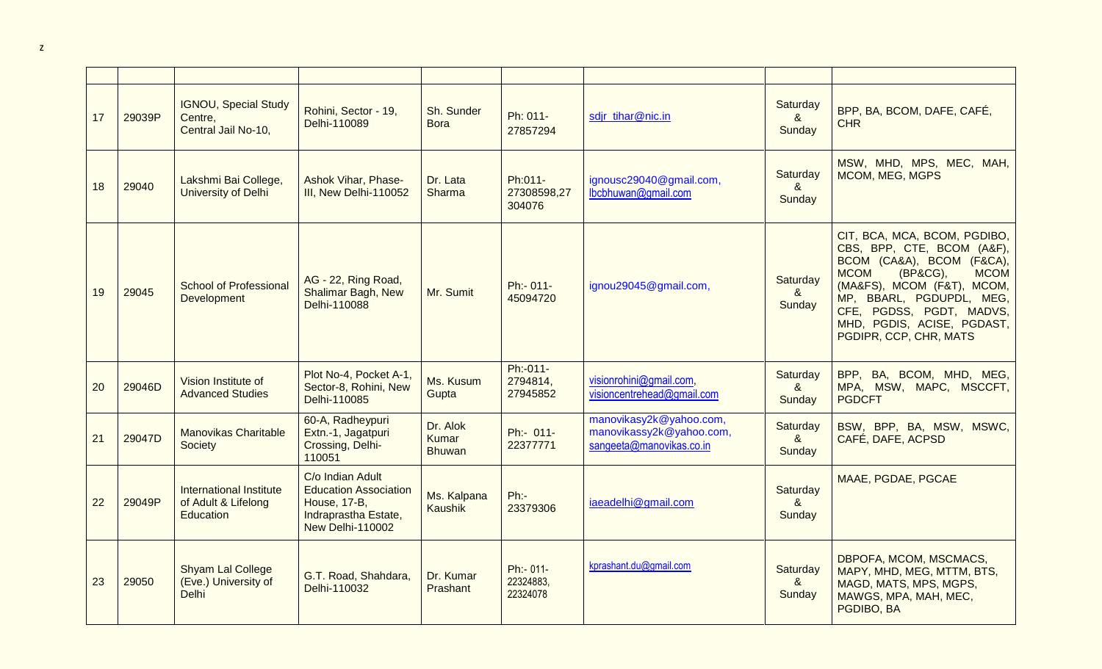| 17 | 29039P | <b>IGNOU, Special Study</b><br>Centre,<br>Central Jail No-10,      | Rohini, Sector - 19,<br>Delhi-110089                                                                                | Sh. Sunder<br><b>Bora</b>          | Ph: 011-<br>27857294               | sdjr tihar@nic.in                                                               | Saturday<br>&<br>Sunday              | BPP, BA, BCOM, DAFE, CAFÉ,<br><b>CHR</b>                                                                                                                                                                                                                                        |
|----|--------|--------------------------------------------------------------------|---------------------------------------------------------------------------------------------------------------------|------------------------------------|------------------------------------|---------------------------------------------------------------------------------|--------------------------------------|---------------------------------------------------------------------------------------------------------------------------------------------------------------------------------------------------------------------------------------------------------------------------------|
| 18 | 29040  | Lakshmi Bai College,<br>University of Delhi                        | <b>Ashok Vihar, Phase-</b><br>III, New Delhi-110052                                                                 | Dr. Lata<br>Sharma                 | Ph:011-<br>27308598,27<br>304076   | ignousc29040@gmail.com,<br>lbcbhuwan@gmail.com                                  | Saturday<br>8 <sub>1</sub><br>Sunday | MSW, MHD, MPS, MEC, MAH,<br>MCOM, MEG, MGPS                                                                                                                                                                                                                                     |
| 19 | 29045  | <b>School of Professional</b><br>Development                       | AG - 22, Ring Road,<br><b>Shalimar Bagh, New</b><br>Delhi-110088                                                    | Mr. Sumit                          | Ph:- 011-<br>45094720              | ignou29045@gmail.com,                                                           | Saturday<br>&<br>Sunday              | CIT, BCA, MCA, BCOM, PGDIBO,<br>CBS, BPP, CTE, BCOM (A&F),<br>BCOM (CA&A), BCOM (F&CA),<br>(BP&CG),<br><b>MCOM</b><br><b>MCOM</b><br>(MA&FS), MCOM (F&T), MCOM,<br>MP, BBARL, PGDUPDL, MEG,<br>CFE, PGDSS, PGDT, MADVS,<br>MHD, PGDIS, ACISE, PGDAST,<br>PGDIPR, CCP, CHR, MATS |
| 20 | 29046D | Vision Institute of<br><b>Advanced Studies</b>                     | Plot No-4, Pocket A-1,<br>Sector-8, Rohini, New<br>Delhi-110085                                                     | Ms. Kusum<br>Gupta                 | Ph:-011-<br>2794814,<br>27945852   | visionrohini@gmail.com,<br>visioncentrehead@gmail.com                           | Saturday<br>&<br>Sunday              | BPP, BA, BCOM, MHD, MEG,<br>MPA, MSW, MAPC, MSCCFT,<br><b>PGDCFT</b>                                                                                                                                                                                                            |
| 21 | 29047D | <b>Manovikas Charitable</b><br>Society                             | 60-A, Radheypuri<br>Extn.-1, Jagatpuri<br>Crossing, Delhi-<br>110051                                                | Dr. Alok<br>Kumar<br><b>Bhuwan</b> | Ph:- 011-<br>22377771              | manovikasy2k@yahoo.com,<br>manovikassy2k@yahoo.com,<br>sangeeta@manovikas.co.in | Saturday<br>&<br>Sunday              | BSW, BPP, BA, MSW, MSWC,<br>CAFÉ, DAFE, ACPSD                                                                                                                                                                                                                                   |
| 22 | 29049P | <b>International Institute</b><br>of Adult & Lifelong<br>Education | C/o Indian Adult<br><b>Education Association</b><br><b>House, 17-B,</b><br>Indraprastha Estate,<br>New Delhi-110002 | Ms. Kalpana<br>Kaushik             | Ph:<br>23379306                    | iaeadelhi@gmail.com                                                             | Saturday<br>8 <sub>o</sub><br>Sunday | MAAE, PGDAE, PGCAE                                                                                                                                                                                                                                                              |
| 23 | 29050  | Shyam Lal College<br>(Eve.) University of<br><b>Delhi</b>          | G.T. Road, Shahdara,<br>Delhi-110032                                                                                | Dr. Kumar<br>Prashant              | Ph:- 011-<br>22324883,<br>22324078 | kprashant.du@gmail.com                                                          | Saturday<br>8 <sub>o</sub><br>Sunday | DBPOFA, MCOM, MSCMACS,<br>MAPY, MHD, MEG, MTTM, BTS,<br>MAGD, MATS, MPS, MGPS,<br>MAWGS, MPA, MAH, MEC,<br>PGDIBO, BA                                                                                                                                                           |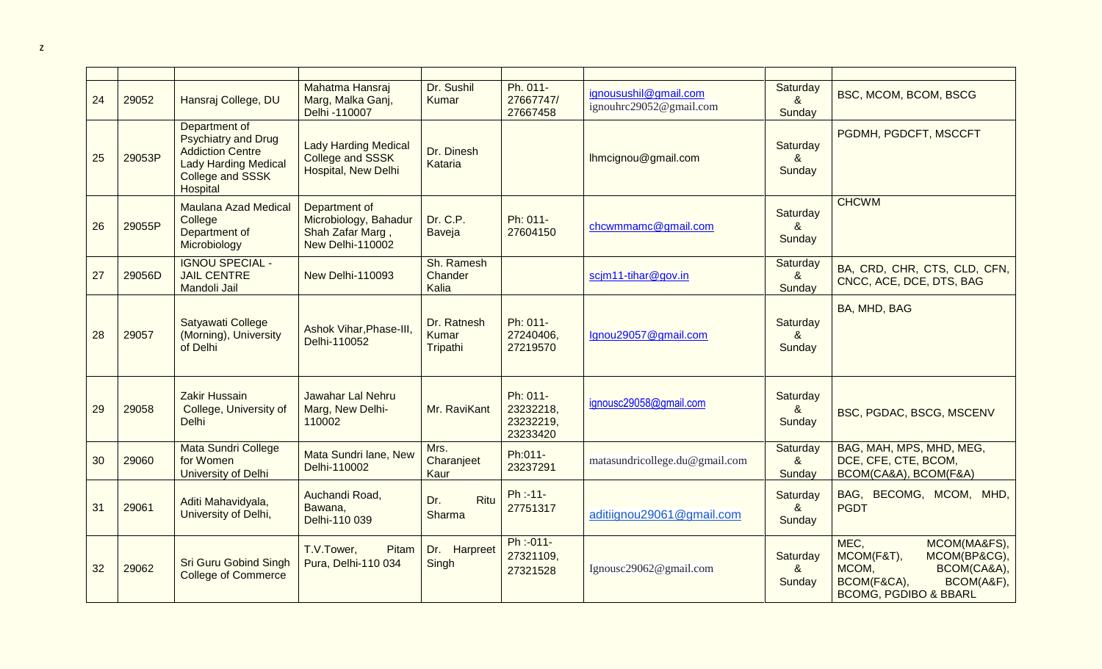| 24 | 29052  | Hansraj College, DU                                                                                                                          | Mahatma Hansraj<br>Marg, Malka Ganj,<br>Delhi -110007                          | Dr. Sushil<br>Kumar              | Ph. 011-<br>27667747/<br>27667458              | ignousushil@gmail.com<br>ignouhrc29052@gmail.com | Saturday<br>$\alpha$<br>Sunday              | BSC, MCOM, BCOM, BSCG                                                                                                                       |
|----|--------|----------------------------------------------------------------------------------------------------------------------------------------------|--------------------------------------------------------------------------------|----------------------------------|------------------------------------------------|--------------------------------------------------|---------------------------------------------|---------------------------------------------------------------------------------------------------------------------------------------------|
| 25 | 29053P | Department of<br><b>Psychiatry and Drug</b><br><b>Addiction Centre</b><br><b>Lady Harding Medical</b><br>College and SSSK<br><b>Hospital</b> | <b>Lady Harding Medical</b><br>College and SSSK<br>Hospital, New Delhi         | Dr. Dinesh<br>Kataria            |                                                | Ihmcignou@gmail.com                              | Saturday<br>$\boldsymbol{\alpha}$<br>Sunday | PGDMH, PGDCFT, MSCCFT                                                                                                                       |
| 26 | 29055P | <b>Maulana Azad Medical</b><br>College<br>Department of<br>Microbiology                                                                      | Department of<br>Microbiology, Bahadur<br>Shah Zafar Marg,<br>New Delhi-110002 | Dr. C.P.<br>Baveja               | Ph: 011-<br>27604150                           | chcwmmamc@gmail.com                              | Saturday<br>$\boldsymbol{\alpha}$<br>Sunday | <b>CHCWM</b>                                                                                                                                |
| 27 | 29056D | <b>IGNOU SPECIAL -</b><br><b>JAIL CENTRE</b><br><b>Mandoli Jail</b>                                                                          | New Delhi-110093                                                               | Sh. Ramesh<br>Chander<br>Kalia   |                                                | scjm11-tihar@gov.in                              | Saturday<br>8 <sub>x</sub><br>Sunday        | BA, CRD, CHR, CTS, CLD, CFN,<br>CNCC, ACE, DCE, DTS, BAG                                                                                    |
| 28 | 29057  | Satyawati College<br>(Morning), University<br>of Delhi                                                                                       | Ashok Vihar, Phase-III,<br>Delhi-110052                                        | Dr. Ratnesh<br>Kumar<br>Tripathi | Ph: 011-<br>27240406,<br>27219570              | Ignou29057@gmail.com                             | Saturday<br>$\boldsymbol{\alpha}$<br>Sunday | BA, MHD, BAG                                                                                                                                |
| 29 | 29058  | <b>Zakir Hussain</b><br>College, University of<br>Delhi                                                                                      | Jawahar Lal Nehru<br>Marg, New Delhi-<br>110002                                | Mr. RaviKant                     | Ph: 011-<br>23232218,<br>23232219,<br>23233420 | ignousc29058@gmail.com                           | Saturday<br>$\boldsymbol{\alpha}$<br>Sunday | BSC, PGDAC, BSCG, MSCENV                                                                                                                    |
| 30 | 29060  | Mata Sundri College<br>for Women<br>University of Delhi                                                                                      | Mata Sundri lane, New<br>Delhi-110002                                          | Mrs.<br>Charanjeet<br>Kaur       | Ph:011-<br>23237291                            | matasundricollege.du@gmail.com                   | Saturday<br>$\boldsymbol{\alpha}$<br>Sunday | BAG, MAH, MPS, MHD, MEG,<br>DCE, CFE, CTE, BCOM,<br>BCOM(CA&A), BCOM(F&A)                                                                   |
| 31 | 29061  | Aditi Mahavidyala,<br>University of Delhi,                                                                                                   | Auchandi Road,<br>Bawana,<br>Delhi-110 039                                     | Ritu<br>Dr.<br>Sharma            | $Ph : -11-$<br>27751317                        | aditiignou29061@gmail.com                        | Saturday<br>8 <sub>1</sub><br>Sunday        | BAG, BECOMG, MCOM, MHD,<br><b>PGDT</b>                                                                                                      |
| 32 | 29062  | <b>Sri Guru Gobind Singh</b><br><b>College of Commerce</b>                                                                                   | T.V.Tower,<br>Pitam<br>Pura, Delhi-110 034                                     | Dr. Harpreet<br>Singh            | Ph:-011-<br>27321109,<br>27321528              | Ignousc29062@gmail.com                           | Saturday<br>&<br>Sunday                     | MEC,<br>MCOM(MA&FS),<br>MCOM(BP&CG),<br>MCOM(F&T),<br>MCOM,<br>BCOM(CA&A),<br>BCOM(F&CA),<br>BCOM(A&F),<br><b>BCOMG, PGDIBO &amp; BBARL</b> |

z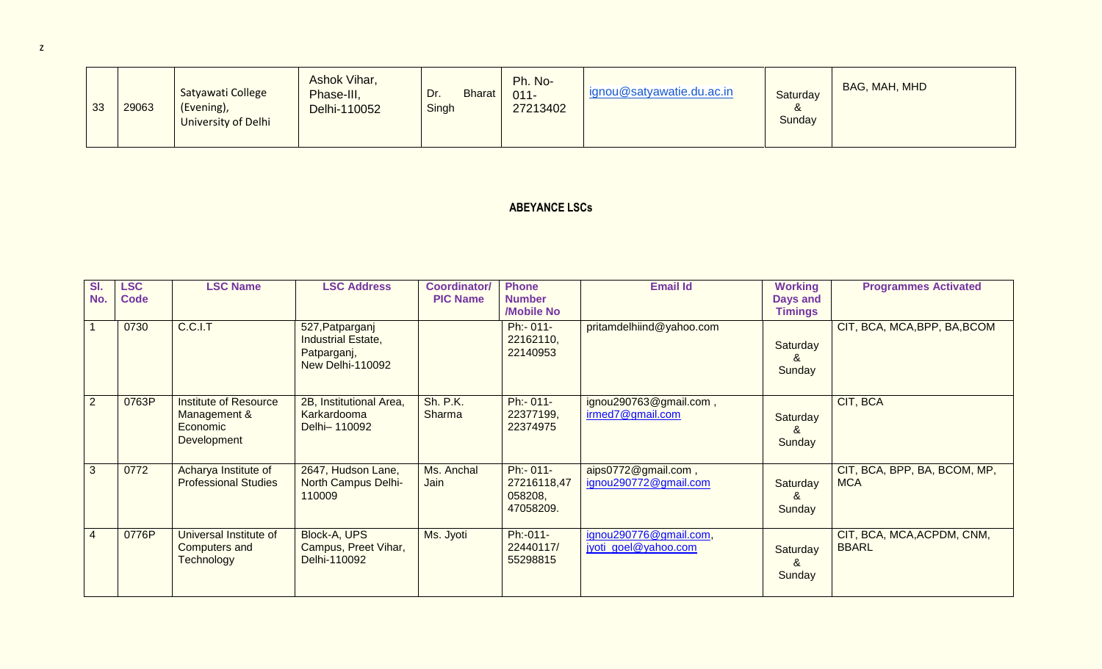| 33 | 29063 | Satyawati College<br>(Evening),<br><b>University of Delhi</b> | Ashok Vihar,<br>Phase-III,<br>Delhi-110052 | Dr.<br><b>Bharat</b><br>Singh | Ph. No-<br>$011 -$<br>27213402 | ignou@satyawatie.du.ac.in | Saturday<br>Sunday | BAG, MAH, MHD |
|----|-------|---------------------------------------------------------------|--------------------------------------------|-------------------------------|--------------------------------|---------------------------|--------------------|---------------|
|----|-------|---------------------------------------------------------------|--------------------------------------------|-------------------------------|--------------------------------|---------------------------|--------------------|---------------|

## **ABEYANCE LSCs**

| SI.<br>No.     | <b>LSC</b><br><b>Code</b> | <b>LSC Name</b>                                                         | <b>LSC Address</b>                                                              | <b>Coordinator/</b><br><b>PIC Name</b> | <b>Phone</b><br><b>Number</b>                    | <b>Email Id</b>                                | <b>Working</b><br>Days and | <b>Programmes Activated</b>                |
|----------------|---------------------------|-------------------------------------------------------------------------|---------------------------------------------------------------------------------|----------------------------------------|--------------------------------------------------|------------------------------------------------|----------------------------|--------------------------------------------|
|                |                           |                                                                         |                                                                                 |                                        | /Mobile No                                       |                                                | <b>Timings</b>             |                                            |
|                | 0730                      | C.C.I.T                                                                 | 527, Patparganj<br><b>Industrial Estate,</b><br>Patparganj,<br>New Delhi-110092 |                                        | Ph:- 011-<br>22162110,<br>22140953               | pritamdelhiind@yahoo.com                       | Saturday<br>&<br>Sunday    | CIT, BCA, MCA, BPP, BA, BCOM               |
| $\overline{2}$ | 0763P                     | <b>Institute of Resource</b><br>Management &<br>Economic<br>Development | 2B, Institutional Area,<br>Karkardooma<br>Delhi-110092                          | <b>Sh. P.K.</b><br><b>Sharma</b>       | Ph:- 011-<br>22377199,<br>22374975               | ignou290763@gmail.com,<br>irmed7@gmail.com     | Saturday<br>&<br>Sunday    | CIT, BCA                                   |
| 3              | 0772                      | Acharya Institute of<br><b>Professional Studies</b>                     | 2647, Hudson Lane,<br>North Campus Delhi-<br>110009                             | Ms. Anchal<br>Jain                     | Ph:- 011-<br>27216118,47<br>058208,<br>47058209. | aips0772@gmail.com,<br>ignou290772@gmail.com   | Saturday<br>&<br>Sunday    | CIT, BCA, BPP, BA, BCOM, MP,<br><b>MCA</b> |
| $\overline{4}$ | 0776P                     | Universal Institute of<br>Computers and<br><b>Technology</b>            | Block-A, UPS<br>Campus, Preet Vihar,<br>Delhi-110092                            | Ms. Jyoti                              | Ph:-011-<br>22440117/<br>55298815                | ignou290776@gmail.com,<br>jyoti goel@yahoo.com | Saturday<br>&<br>Sunday    | CIT, BCA, MCA, ACPDM, CNM,<br><b>BBARL</b> |

z